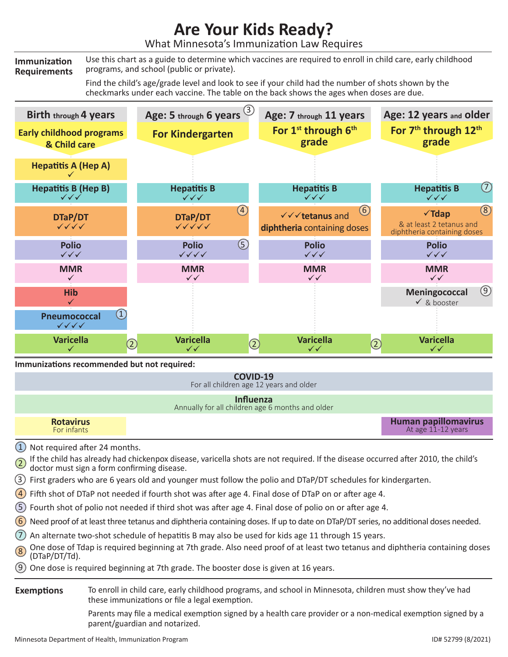## **Are Your Kids Ready?**

What Minnesota's Immunization Law Requires

**Immunization Requirements** Use this chart as a guide to determine which vaccines are required to enroll in child care, early childhood programs, and school (public or private).

> Find the child's age/grade level and look to see if your child had the number of shots shown by the checkmarks under each vaccine. The table on the back shows the ages when doses are due.



## **Immunizations recommended but not required:**

**COVID-19** For all children age 12 years and older

## **Influenza**

Annually for all children age 6 months and older

**Rotavirus** For infants

**Human papillomavirus** At age 11 -12 years

- $(1)$  Not required after 24 months.
- 2 If the child has already had chickenpox disease, varicella shots are not required. If the disease occurred after 2010, the child's doctor must sign a form confirming disease.
- 3 First graders who are 6 years old and younger must follow the polio and DTaP/DT schedules for kindergarten.
- 4 Fifth shot of DTaP not needed if fourth shot was after age 4. Final dose of DTaP on or after age 4.
- 5 Fourth shot of polio not needed if third shot was after age 4. Final dose of polio on or after age 4.
- $(6)$  Need proof of at least three tetanus and diphtheria containing doses. If up to date on DTaP/DT series, no additional doses needed.
- 7 An alternate two-shot schedule of hepatitis B may also be used for kids age 11 through 15 years.
- One dose of Tdap is required beginning at 7th grade. Also need proof of at least two tetanus and diphtheria containing doses (DTaP/DT/Td).
- 9 One dose is required beginning at 7th grade. The booster dose is given at 16 years.

To enroll in child care, early childhood programs, and school in Minnesota, children must show they've had these immunizations or file a legal exemption. **Exemptions**

> Parents may file a medical exemption signed by a health care provider or a non-medical exemption signed by a parent/guardian and notarized.